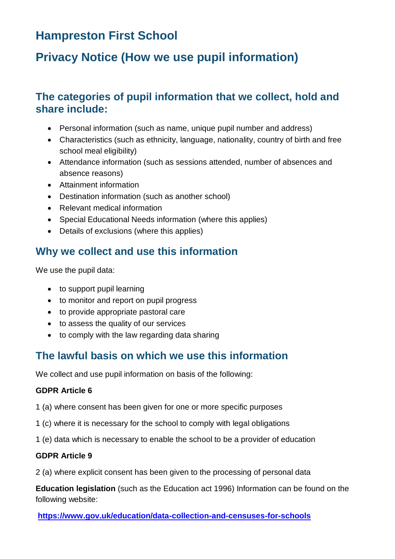# **Hampreston First School**

# **Privacy Notice (How we use pupil information)**

## **The categories of pupil information that we collect, hold and share include:**

- Personal information (such as name, unique pupil number and address)
- Characteristics (such as ethnicity, language, nationality, country of birth and free school meal eligibility)
- Attendance information (such as sessions attended, number of absences and absence reasons)
- Attainment information
- Destination information (such as another school)
- Relevant medical information
- Special Educational Needs information (where this applies)
- Details of exclusions (where this applies)

## **Why we collect and use this information**

We use the pupil data:

- to support pupil learning
- to monitor and report on pupil progress
- to provide appropriate pastoral care
- to assess the quality of our services
- to comply with the law regarding data sharing

## **The lawful basis on which we use this information**

We collect and use pupil information on basis of the following:

#### **GDPR Article 6**

- 1 (a) where consent has been given for one or more specific purposes
- 1 (c) where it is necessary for the school to comply with legal obligations
- 1 (e) data which is necessary to enable the school to be a provider of education

#### **GDPR Article 9**

2 (a) where explicit consent has been given to the processing of personal data

**Education legislation** (such as the Education act 1996) Information can be found on the following website:

**<https://www.gov.uk/education/data-collection-and-censuses-for-schools>**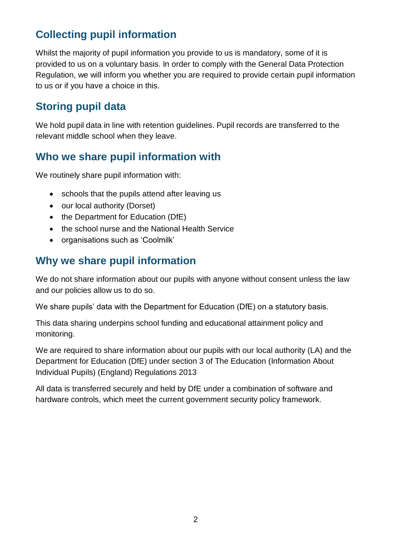## **Collecting pupil information**

Whilst the majority of pupil information you provide to us is mandatory, some of it is provided to us on a voluntary basis. In order to comply with the General Data Protection Regulation, we will inform you whether you are required to provide certain pupil information to us or if you have a choice in this.

## **Storing pupil data**

We hold pupil data in line with retention guidelines. Pupil records are transferred to the relevant middle school when they leave.

## **Who we share pupil information with**

We routinely share pupil information with:

- schools that the pupils attend after leaving us
- our local authority (Dorset)
- the Department for Education (DfE)
- the school nurse and the National Health Service
- organisations such as 'Coolmilk'

## **Why we share pupil information**

We do not share information about our pupils with anyone without consent unless the law and our policies allow us to do so.

We share pupils' data with the Department for Education (DfE) on a statutory basis.

This data sharing underpins school funding and educational attainment policy and monitoring.

We are required to share information about our pupils with our local authority (LA) and the Department for Education (DfE) under section 3 of The Education (Information About Individual Pupils) (England) Regulations 2013

All data is transferred securely and held by DfE under a combination of software and hardware controls, which meet the current government security policy framework.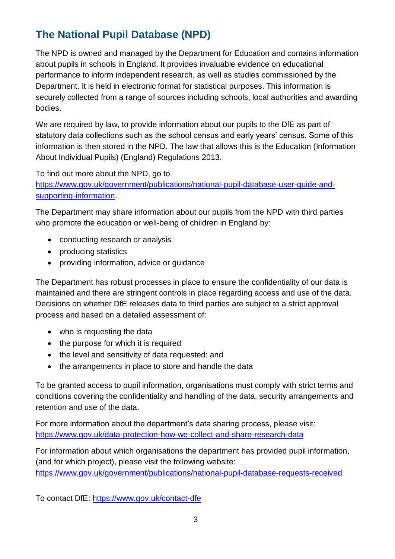## **The National Pupil Database (NPD)**

The NPD is owned and managed by the Department for Education and contains information about pupils in schools in England. It provides invaluable evidence on educational performance to inform independent research, as well as studies commissioned by the Department. It is held in electronic format for statistical purposes. This information is securely collected from a range of sources including schools, local authorities and awarding bodies.

We are required by law, to provide information about our pupils to the DfE as part of statutory data collections such as the school census and early years' census. Some of this information is then stored in the NPD. The law that allows this is the Education (Information About Individual Pupils) (England) Regulations 2013.

To find out more about the NPD, go to

[https://www.gov.uk/government/publications/national-pupil-database-user-guide-and](https://www.gov.uk/government/publications/national-pupil-database-user-guide-and-supporting-information)[supporting-information.](https://www.gov.uk/government/publications/national-pupil-database-user-guide-and-supporting-information)

The Department may share information about our pupils from the NPD with third parties who promote the education or well-being of children in England by:

- conducting research or analysis
- producing statistics
- providing information, advice or guidance

The Department has robust processes in place to ensure the confidentiality of our data is maintained and there are stringent controls in place regarding access and use of the data. Decisions on whether DfE releases data to third parties are subject to a strict approval process and based on a detailed assessment of:

- who is requesting the data
- the purpose for which it is required
- the level and sensitivity of data requested: and
- the arrangements in place to store and handle the data

To be granted access to pupil information, organisations must comply with strict terms and conditions covering the confidentiality and handling of the data, security arrangements and retention and use of the data.

For more information about the department's data sharing process, please visit: <https://www.gov.uk/data-protection-how-we-collect-and-share-research-data>

For information about which organisations the department has provided pupil information, (and for which project), please visit the following website: <https://www.gov.uk/government/publications/national-pupil-database-requests-received>

To contact DfE:<https://www.gov.uk/contact-dfe>